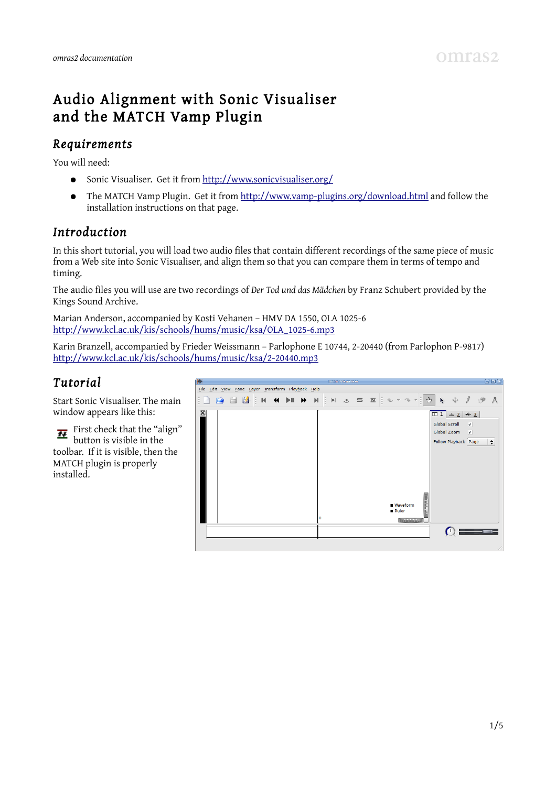# Audio Alignment with Sonic Visualiser and the MATCH Vamp Plugin

### *Requirements*

You will need:

- Sonic Visualiser. Get it from<http://www.sonicvisualiser.org/>
- The MATCH Vamp Plugin. Get it from<http://www.vamp-plugins.org/download.html>and follow the installation instructions on that page.

## *Introduction*

In this short tutorial, you will load two audio files that contain different recordings of the same piece of music from a Web site into Sonic Visualiser, and align them so that you can compare them in terms of tempo and timing.

The audio files you will use are two recordings of *Der Tod und das Mädchen* by Franz Schubert provided by the Kings Sound Archive.

Marian Anderson, accompanied by Kosti Vehanen – HMV DA 1550, OLA 1025-6 [http://www.kcl.ac.uk/kis/schools/hums/music/ksa/OLA\\_1025-6.mp3](http://www.kcl.ac.uk/kis/schools/hums/music/ksa/OLA_1025-6.mp3)

Karin Branzell, accompanied by Frieder Weissmann – Parlophone E 10744, 2-20440 (from Parlophon P-9817) <http://www.kcl.ac.uk/kis/schools/hums/music/ksa/2-20440.mp3>

# *Tutorial*

Start Sonic Visualiser. The main window appears like this:

First check that the "align" button is visible in the toolbar. If it is visible, then the MATCH plugin is properly installed.

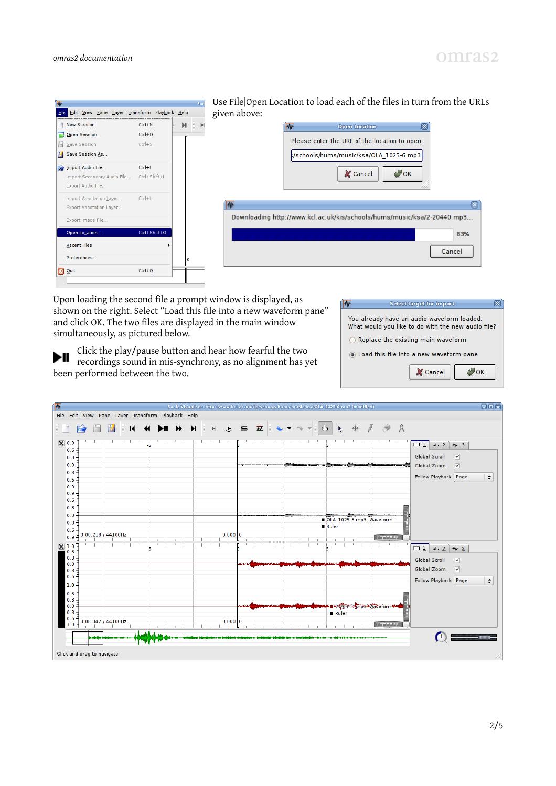



Use File|Open Location to load each of the files in turn from the URLs given above:

| 业 | <b>Open Location</b>                                                    |        |  |
|---|-------------------------------------------------------------------------|--------|--|
|   | Please enter the URL of the location to open:                           |        |  |
|   | /schools/hums/music/ksa/OLA 1025-6.mp3                                  |        |  |
|   | <b>JOK</b><br>X Cancel                                                  |        |  |
|   |                                                                         |        |  |
|   | Downloading http://www.kcl.ac.uk/kis/schools/hums/music/ksa/2-20440.mp3 |        |  |
|   |                                                                         | 83%    |  |
|   |                                                                         | Cancel |  |
|   |                                                                         |        |  |

Upon loading the second file a prompt window is displayed, as shown on the right. Select "Load this file into a new waveform pane" and click OK. The two files are displayed in the main window simultaneously, as pictured below.

**Select target for import** You already have an audio waveform loaded. What would you like to do with the new audio file?  $\bigcap$  Replace the existing main waveform .<br>• Load this file into a new waveform pane X Cancel  $\bigtriangledown$ ok

Click the play/pause button and hear how fearful the two recordings sound in mis-synchrony, as no alignment has yet been performed between the two.

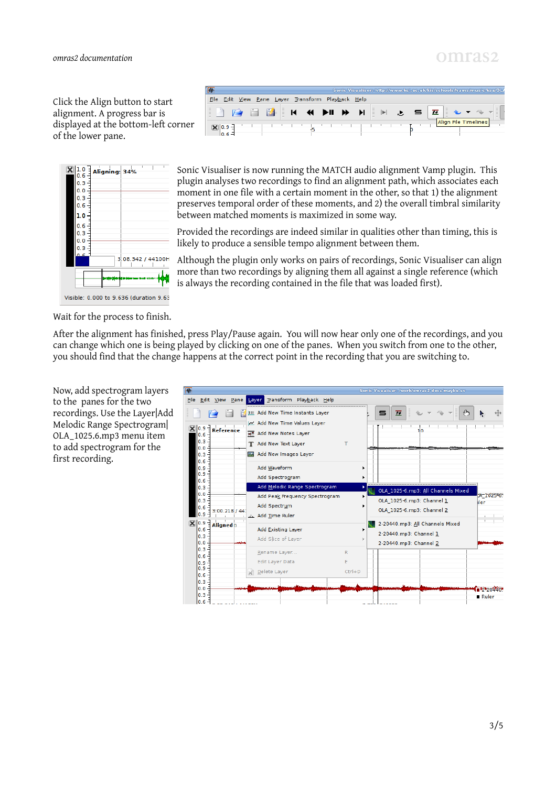Click the Align button to start alignment. A progress bar is displayed at the bottom-left corner of the lower pane.



|                       |                                              |  |        |                                                   | Wismsflexer KOry/Jummal |   |  |  |             |                      |  |
|-----------------------|----------------------------------------------|--|--------|---------------------------------------------------|-------------------------|---|--|--|-------------|----------------------|--|
| <b>File</b>           | Edit View Pane Layer Transform Playback Help |  |        |                                                   |                         |   |  |  |             |                      |  |
| $\sim$<br>Ē<br>-<br>- |                                              |  | E<br>И | $\blacktriangleright$ II $\blacktriangleright$ II |                         | I |  |  | $\sim$<br>I |                      |  |
| 09                    |                                              |  |        |                                                   |                         |   |  |  |             | Align File Timelines |  |

Sonic Visualiser is now running the MATCH audio alignment Vamp plugin. This plugin analyses two recordings to find an alignment path, which associates each moment in one file with a certain moment in the other, so that 1) the alignment preserves temporal order of these moments, and 2) the overall timbral similarity between matched moments is maximized in some way.

Provided the recordings are indeed similar in qualities other than timing, this is likely to produce a sensible tempo alignment between them.

Although the plugin only works on pairs of recordings, Sonic Visualiser can align more than two recordings by aligning them all against a single reference (which is always the recording contained in the file that was loaded first).

Wait for the process to finish.

After the alignment has finished, press Play/Pause again. You will now hear only one of the recordings, and you can change which one is being played by clicking on one of the panes. When you switch from one to the other, you should find that the change happens at the correct point in the recording that you are switching to.



Now, add spectrogram layers to the panes for the two recordings. Use the Layer|Add Melodic Range Spectrogram| OLA\_1025.6.mp3 menu item to add spectrogram for the first recording.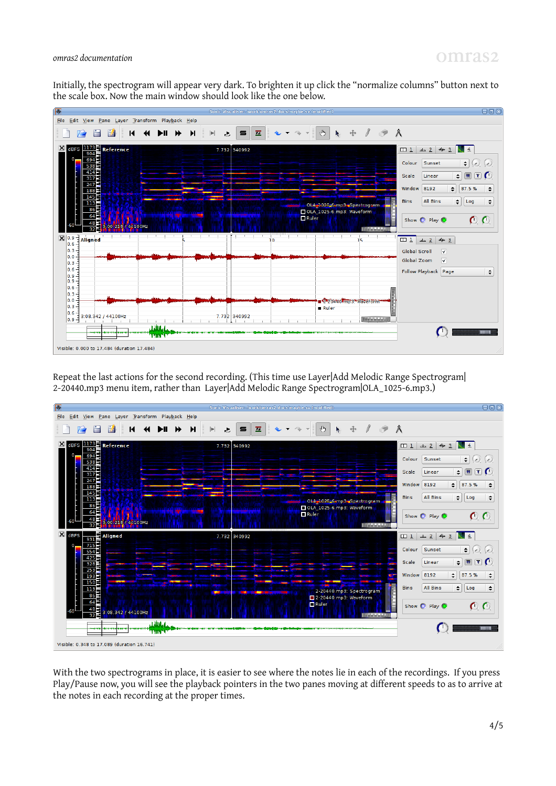# omras<sub>2</sub>

#### *omras2 documentation*

Initially, the spectrogram will appear very dark. To brighten it up click the "normalize columns" button next to the scale box. Now the main window should look like the one below.



Repeat the last actions for the second recording. (This time use Layer|Add Melodic Range Spectrogram| 2-20440.mp3 menu item, rather than Layer|Add Melodic Range Spectrogram|OLA\_1025-6.mp3.)



With the two spectrograms in place, it is easier to see where the notes lie in each of the recordings. If you press Play/Pause now, you will see the playback pointers in the two panes moving at different speeds to as to arrive at the notes in each recording at the proper times.